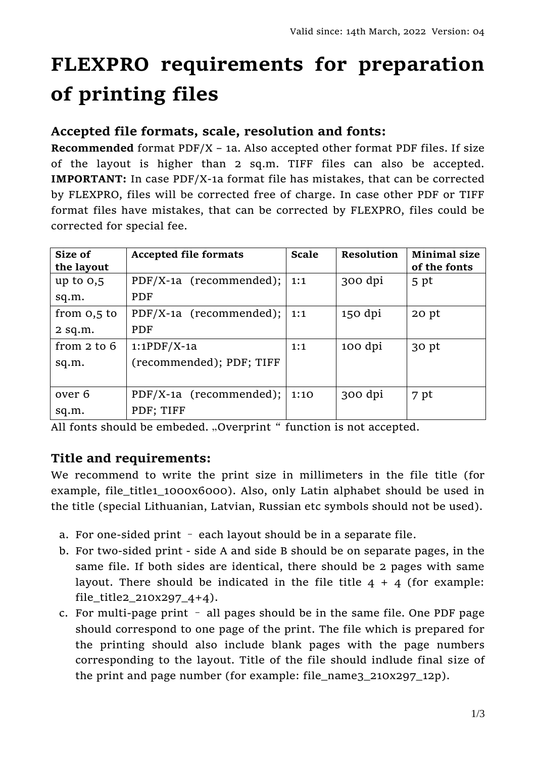# **FLEXPRO requirements for preparation of printing files**

## **Accepted file formats, scale, resolution and fonts:**

**Recommended** format PDF/X – 1a. Also accepted other format PDF files. If size of the layout is higher than 2 sq.m. TIFF files can also be accepted. **IMPORTANT:** In case PDF/X-1a format file has mistakes, that can be corrected by FLEXPRO, files will be corrected free of charge. In case other PDF or TIFF format files have mistakes, that can be corrected by FLEXPRO, files could be corrected for special fee.

| Size of<br>the layout | <b>Accepted file formats</b> | <b>Scale</b> | <b>Resolution</b> | <b>Minimal size</b><br>of the fonts |
|-----------------------|------------------------------|--------------|-------------------|-------------------------------------|
| up to $0,5$           | PDF/X-1a (recommended);      | 1:1          | 300 dpi           | 5 pt                                |
| sq.m.                 | PDF                          |              |                   |                                     |
| from $0,5$ to         | PDF/X-1a (recommended);      | 1:1          | $150$ dpi         | $20$ pt                             |
| $2$ sq.m.             | <b>PDF</b>                   |              |                   |                                     |
| from $2$ to $6$       | $1:1PDF/X-1a$                | 1:1          | 100 dpi           | 30 pt                               |
| sq.m.                 | (recommended); PDF; TIFF     |              |                   |                                     |
|                       |                              |              |                   |                                     |
| over 6                | PDF/X-1a (recommended);      | 1:10         | 300 dpi           | 7 pt                                |
| sq.m.                 | PDF; TIFF                    |              |                   |                                     |

All fonts should be embeded. "Overprint" function is not accepted.

## **Title and requirements:**

We recommend to write the print size in millimeters in the file title (for example, file\_title1\_1000x6000). Also, only Latin alphabet should be used in the title (special Lithuanian, Latvian, Russian etc symbols should not be used).

- a. For one-sided print each layout should be in a separate file.
- b. For two-sided print side A and side B should be on separate pages, in the same file. If both sides are identical, there should be 2 pages with same layout. There should be indicated in the file title  $4 + 4$  (for example: file\_title2\_210x297\_4+4).
- c. For multi-page print all pages should be in the same file. One PDF page should correspond to one page of the print. The file which is prepared for the printing should also include blank pages with the page numbers corresponding to the layout. Title of the file should indlude final size of the print and page number (for example: file\_name3\_210x297\_12p).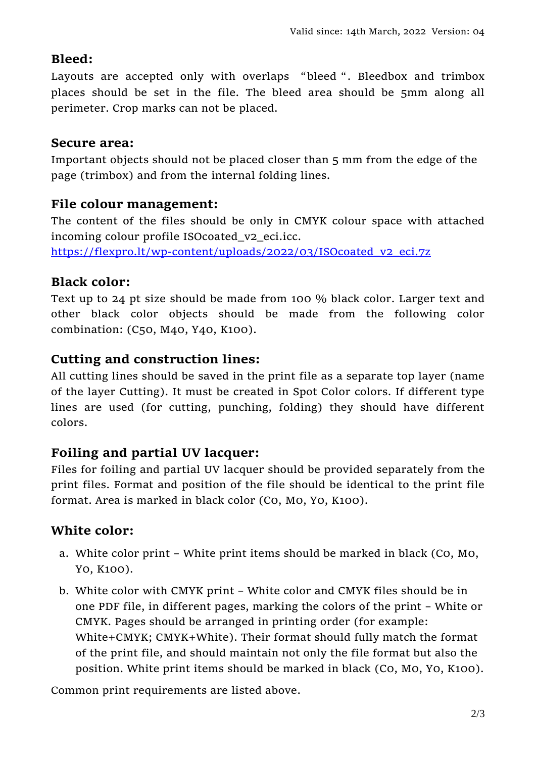### **Bleed:**

Layouts are accepted only with overlaps "bleed". Bleedbox and trimbox places should be set in the file. The bleed area should be 5mm along all perimeter. Crop marks can not be placed.

#### **Secure area:**

Important objects should not be placed closer than 5 mm from the edge of the page (trimbox) and from the internal folding lines.

#### **File colour management:**

The content of the files should be only in CMYK colour space with attached incoming colour profile ISOcoated\_v2\_eci.icc.

[https://flexpro.lt/wp-content/uploads/2022/03/ISOcoated\\_v2\\_eci.7z](https://flexpro.lt/wp-content/uploads/2022/03/ISOcoated_v2_eci.7z)

#### **Black color:**

Text up to 24 pt size should be made from 100 % black color. Larger text and other black color objects should be made from the following color combination: (C50, M40, Y40, K100).

#### **Cutting and construction lines:**

All cutting lines should be saved in the print file as a separate top layer (name of the layer Cutting). It must be created in Spot Color colors. If different type lines are used (for cutting, punching, folding) they should have different colors.

## **Foiling and partial UV lacquer:**

Files for foiling and partial UV lacquer should be provided separately from the print files. Format and position of the file should be identical to the print file format. Area is marked in black color (C0, M0, Y0, K100).

## **White color:**

- a. White color print White print items should be marked in black (C0, M0, Y0, K100).
- b. White color with CMYK print White color and CMYK files should be in one PDF file, in different pages, marking the colors of the print – White or CMYK. Pages should be arranged in printing order (for example: White+CMYK; CMYK+White). Their format should fully match the format of the print file, and should maintain not only the file format but also the position. White print items should be marked in black (C0, M0, Y0, K100).

Common print requirements are listed above.